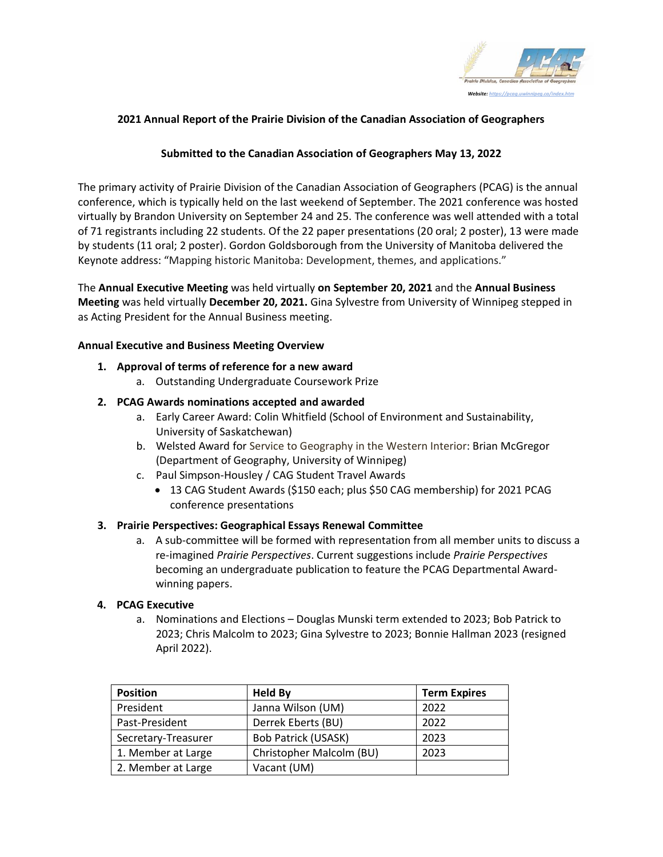

# **2021 Annual Report of the Prairie Division of the Canadian Association of Geographers**

# **Submitted to the Canadian Association of Geographers May 13, 2022**

The primary activity of Prairie Division of the Canadian Association of Geographers (PCAG) is the annual conference, which is typically held on the last weekend of September. The 2021 conference was hosted virtually by Brandon University on September 24 and 25. The conference was well attended with a total of 71 registrants including 22 students. Of the 22 paper presentations (20 oral; 2 poster), 13 were made by students (11 oral; 2 poster). Gordon Goldsborough from the University of Manitoba delivered the Keynote address: "Mapping historic Manitoba: Development, themes, and applications."

The **Annual Executive Meeting** was held virtually **on September 20, 2021** and the **Annual Business Meeting** was held virtually **December 20, 2021.** Gina Sylvestre from University of Winnipeg stepped in as Acting President for the Annual Business meeting.

#### **Annual Executive and Business Meeting Overview**

#### **1. Approval of terms of reference for a new award**

a. Outstanding Undergraduate Coursework Prize

# **2. PCAG Awards nominations accepted and awarded**

- a. Early Career Award: Colin Whitfield (School of Environment and Sustainability, University of Saskatchewan)
- b. Welsted Award for Service to Geography in the Western Interior: Brian McGregor (Department of Geography, University of Winnipeg)
- c. Paul Simpson-Housley / CAG Student Travel Awards
	- 13 CAG Student Awards (\$150 each; plus \$50 CAG membership) for 2021 PCAG conference presentations

# **3. Prairie Perspectives: Geographical Essays Renewal Committee**

a. A sub-committee will be formed with representation from all member units to discuss a re-imagined *Prairie Perspectives*. Current suggestions include *Prairie Perspectives* becoming an undergraduate publication to feature the PCAG Departmental Awardwinning papers.

# **4. PCAG Executive**

a. Nominations and Elections – Douglas Munski term extended to 2023; Bob Patrick to 2023; Chris Malcolm to 2023; Gina Sylvestre to 2023; Bonnie Hallman 2023 (resigned April 2022).

| <b>Position</b>     | <b>Held By</b>             | <b>Term Expires</b> |
|---------------------|----------------------------|---------------------|
| President           | Janna Wilson (UM)          | 2022                |
| Past-President      | Derrek Eberts (BU)         | 2022                |
| Secretary-Treasurer | <b>Bob Patrick (USASK)</b> | 2023                |
| 1. Member at Large  | Christopher Malcolm (BU)   | 2023                |
| 2. Member at Large  | Vacant (UM)                |                     |